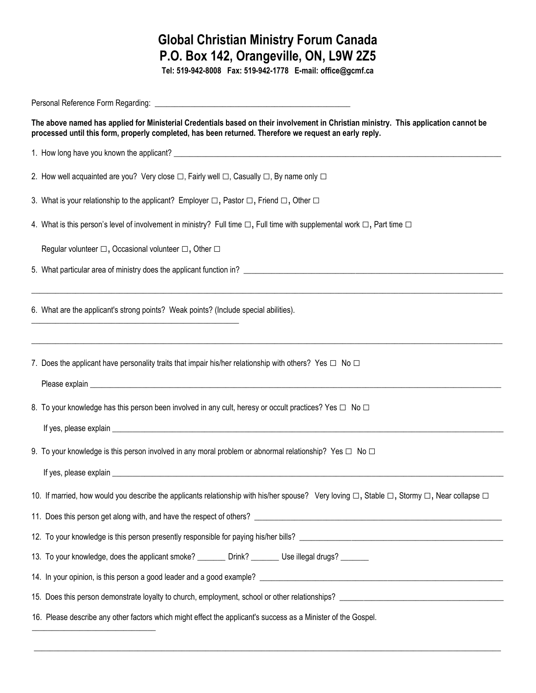## **Global Christian Ministry Forum Canada P.O. Box 142, Orangeville, ON, L9W 2Z5**

**Tel: 519-942-8008 Fax: 519-942-1778 E-mail: office@gcmf.ca**

| The above named has applied for Ministerial Credentials based on their involvement in Christian ministry. This application cannot be<br>processed until this form, properly completed, has been returned. Therefore we request an early reply. |  |  |  |  |
|------------------------------------------------------------------------------------------------------------------------------------------------------------------------------------------------------------------------------------------------|--|--|--|--|
|                                                                                                                                                                                                                                                |  |  |  |  |
| 2. How well acquainted are you? Very close $\Box$ , Fairly well $\Box$ , Casually $\Box$ , By name only $\Box$                                                                                                                                 |  |  |  |  |
| 3. What is your relationship to the applicant? Employer $\Box$ , Pastor $\Box$ , Friend $\Box$ , Other $\Box$                                                                                                                                  |  |  |  |  |
| 4. What is this person's level of involvement in ministry? Full time $\Box$ , Full time with supplemental work $\Box$ , Part time $\Box$                                                                                                       |  |  |  |  |
| Regular volunteer $\Box$ , Occasional volunteer $\Box$ , Other $\Box$                                                                                                                                                                          |  |  |  |  |
|                                                                                                                                                                                                                                                |  |  |  |  |
| 6. What are the applicant's strong points? Weak points? (Include special abilities).                                                                                                                                                           |  |  |  |  |
| 7. Does the applicant have personality traits that impair his/her relationship with others? Yes $\square$ No $\square$                                                                                                                         |  |  |  |  |
| 8. To your knowledge has this person been involved in any cult, heresy or occult practices? Yes □ No □                                                                                                                                         |  |  |  |  |
|                                                                                                                                                                                                                                                |  |  |  |  |
| 9. To your knowledge is this person involved in any moral problem or abnormal relationship? Yes $\Box$ No $\Box$                                                                                                                               |  |  |  |  |
| If yes, please explain expression and the contract of the contract of the contract of the contract of the contract of the contract of the contract of the contract of the contract of the contract of the contract of the cont                 |  |  |  |  |
| 10. If married, how would you describe the applicants relationship with his/her spouse? Very loving □, Stable □, Stormy □, Near collapse □                                                                                                     |  |  |  |  |
|                                                                                                                                                                                                                                                |  |  |  |  |
|                                                                                                                                                                                                                                                |  |  |  |  |
| 13. To your knowledge, does the applicant smoke? _________________________________ Use illegal drugs?                                                                                                                                          |  |  |  |  |
|                                                                                                                                                                                                                                                |  |  |  |  |
|                                                                                                                                                                                                                                                |  |  |  |  |
| 16. Please describe any other factors which might effect the applicant's success as a Minister of the Gospel.                                                                                                                                  |  |  |  |  |

 $\_$  , and the set of the set of the set of the set of the set of the set of the set of the set of the set of the set of the set of the set of the set of the set of the set of the set of the set of the set of the set of th

\_\_\_\_\_\_\_\_\_\_\_\_\_\_\_\_\_\_\_\_\_\_\_\_\_\_\_\_\_\_\_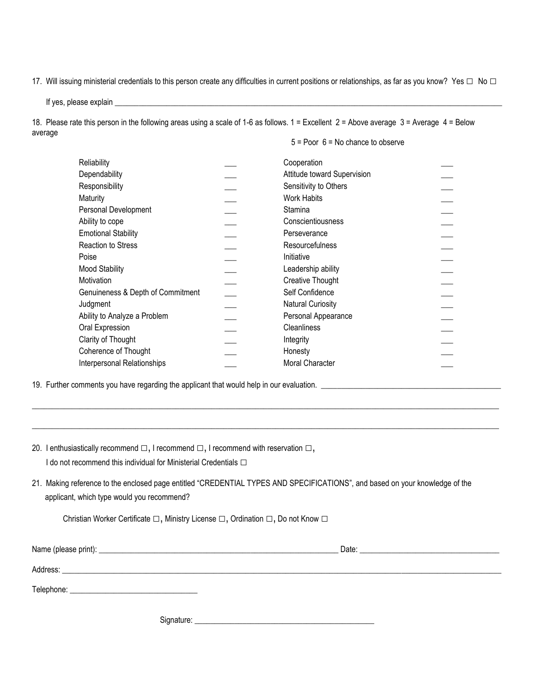17. Will issuing ministerial credentials to this person create any difficulties in current positions or relationships, as far as you know? Yes □ No □

If yes, please explain \_\_

18. Please rate this person in the following areas using a scale of 1-6 as follows. 1 = Excellent 2 = Above average 3 = Average 4 = Below average

#### 5 = Poor 6 = No chance to observe

| Reliability                       | Cooperation                 |  |
|-----------------------------------|-----------------------------|--|
| Dependability                     | Attitude toward Supervision |  |
| Responsibility                    | Sensitivity to Others       |  |
| Maturity                          | <b>Work Habits</b>          |  |
| Personal Development              | Stamina                     |  |
| Ability to cope                   | Conscientiousness           |  |
| <b>Emotional Stability</b>        | Perseverance                |  |
| Reaction to Stress                | <b>Resourcefulness</b>      |  |
| Poise                             | Initiative                  |  |
| <b>Mood Stability</b>             | Leadership ability          |  |
| <b>Motivation</b>                 | Creative Thought            |  |
| Genuineness & Depth of Commitment | Self Confidence             |  |
| Judgment                          | <b>Natural Curiosity</b>    |  |
| Ability to Analyze a Problem      | Personal Appearance         |  |
| Oral Expression                   | <b>Cleanliness</b>          |  |
| Clarity of Thought                | Integrity                   |  |
| Coherence of Thought              | Honesty                     |  |
| Interpersonal Relationships       | <b>Moral Character</b>      |  |
|                                   |                             |  |

19. Further comments you have regarding the applicant that would help in our evaluation. \_\_\_\_\_\_\_\_\_\_\_\_\_\_\_\_\_\_\_\_\_\_\_\_\_\_\_\_\_\_\_\_\_\_\_\_\_\_\_\_\_\_\_\_\_

| 20. I enthusiastically recommend $\Box$ , I recommend $\Box$ , I recommend with reservation $\Box$ , |
|------------------------------------------------------------------------------------------------------|
| I do not recommend this individual for Ministerial Credentials $\Box$                                |

21. Making reference to the enclosed page entitled "CREDENTIAL TYPES AND SPECIFICATIONS", and based on your knowledge of the applicant, which type would you recommend?

 $\_$  , and the set of the set of the set of the set of the set of the set of the set of the set of the set of the set of the set of the set of the set of the set of the set of the set of the set of the set of the set of th

 $\_$  ,  $\_$  ,  $\_$  ,  $\_$  ,  $\_$  ,  $\_$  ,  $\_$  ,  $\_$  ,  $\_$  ,  $\_$  ,  $\_$  ,  $\_$  ,  $\_$  ,  $\_$  ,  $\_$  ,  $\_$  ,  $\_$  ,  $\_$  ,  $\_$  ,  $\_$  ,  $\_$  ,  $\_$  ,  $\_$  ,  $\_$  ,  $\_$  ,  $\_$  ,  $\_$  ,  $\_$  ,  $\_$  ,  $\_$  ,  $\_$  ,  $\_$  ,  $\_$  ,  $\_$  ,  $\_$  ,  $\_$  ,  $\_$  ,

Christian Worker Certificate □, Ministry License □, Ordination □, Do not Know □

|            | Date: |
|------------|-------|
| Address:   |       |
| Telephone: |       |
|            |       |

Signature: \_\_\_\_\_\_\_\_\_\_\_\_\_\_\_\_\_\_\_\_\_\_\_\_\_\_\_\_\_\_\_\_\_\_\_\_\_\_\_\_\_\_\_\_\_